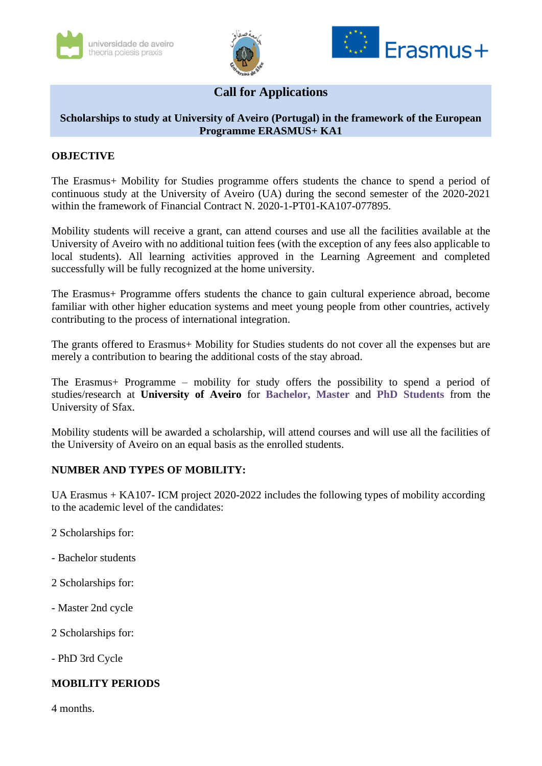





# **Call for Applications**

## **Scholarships to study at University of Aveiro (Portugal) in the framework of the European Programme ERASMUS+ KA1**

#### **OBJECTIVE**

The Erasmus+ Mobility for Studies programme offers students the chance to spend a period of continuous study at the University of Aveiro (UA) during the second semester of the 2020-2021 within the framework of Financial Contract N. 2020-1-PT01-KA107-077895.

Mobility students will receive a grant, can attend courses and use all the facilities available at the University of Aveiro with no additional tuition fees (with the exception of any fees also applicable to local students). All learning activities approved in the Learning Agreement and completed successfully will be fully recognized at the home university.

The Erasmus+ Programme offers students the chance to gain cultural experience abroad, become familiar with other higher education systems and meet young people from other countries, actively contributing to the process of international integration.

The grants offered to Erasmus+ Mobility for Studies students do not cover all the expenses but are merely a contribution to bearing the additional costs of the stay abroad.

The Erasmus+ Programme – mobility for study offers the possibility to spend a period of studies/research at **University of Aveiro** for **Bachelor, Master** and **PhD Students** from the University of Sfax.

Mobility students will be awarded a scholarship, will attend courses and will use all the facilities of the University of Aveiro on an equal basis as the enrolled students.

#### **NUMBER AND TYPES OF MOBILITY:**

UA Erasmus + KA107- ICM project 2020-2022 includes the following types of mobility according to the academic level of the candidates:

- 2 Scholarships for:
- Bachelor students
- 2 Scholarships for:
- Master 2nd cycle
- 2 Scholarships for:
- PhD 3rd Cycle

# **MOBILITY PERIODS**

4 months.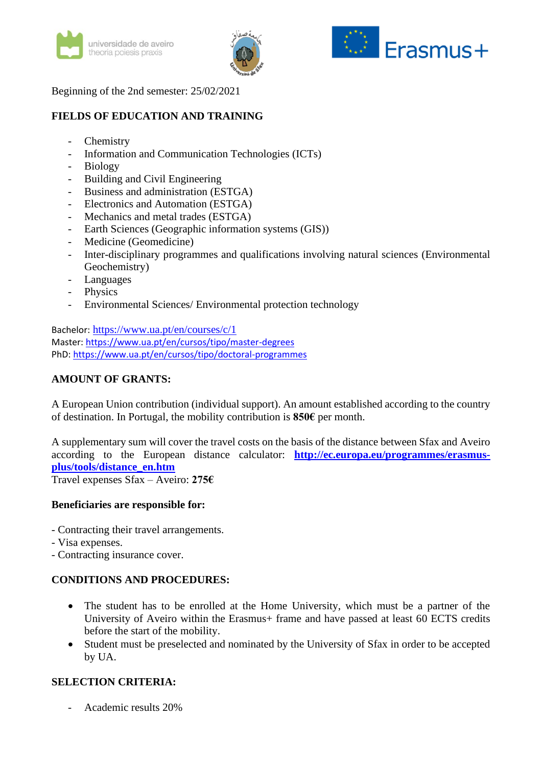





Beginning of the 2nd semester: 25/02/2021

# **FIELDS OF EDUCATION AND TRAINING**

- **Chemistry**
- Information and Communication Technologies (ICTs)
- Biology
- Building and Civil Engineering
- Business and administration (ESTGA)
- Electronics and Automation (ESTGA)
- Mechanics and metal trades (ESTGA)
- Earth Sciences (Geographic information systems (GIS))
- Medicine (Geomedicine)
- Inter-disciplinary programmes and qualifications involving natural sciences (Environmental Geochemistry)
- **Languages**
- Physics
- Environmental Sciences/ Environmental protection technology

Bachelor: <https://www.ua.pt/en/courses/c/1> Master:<https://www.ua.pt/en/cursos/tipo/master-degrees> PhD:<https://www.ua.pt/en/cursos/tipo/doctoral-programmes>

# **AMOUNT OF GRANTS:**

A European Union contribution (individual support). An amount established according to the country of destination. In Portugal, the mobility contribution is **850€** per month.

A supplementary sum will cover the travel costs on the basis of the distance between Sfax and Aveiro according to the European distance calculator: **[http://ec.europa.eu/programmes/erasmus](http://ec.europa.eu/programmes/erasmus-plus/tools/distance_en.htm)[plus/tools/distance\\_en.htm](http://ec.europa.eu/programmes/erasmus-plus/tools/distance_en.htm)**

Travel expenses Sfax – Aveiro: **275€**

#### **Beneficiaries are responsible for:**

- Contracting their travel arrangements.
- Visa expenses.
- Contracting insurance cover.

## **CONDITIONS AND PROCEDURES:**

- The student has to be enrolled at the Home University, which must be a partner of the University of Aveiro within the Erasmus+ frame and have passed at least 60 ECTS credits before the start of the mobility.
- Student must be preselected and nominated by the University of Sfax in order to be accepted by UA.

## **SELECTION CRITERIA:**

- Academic results 20%